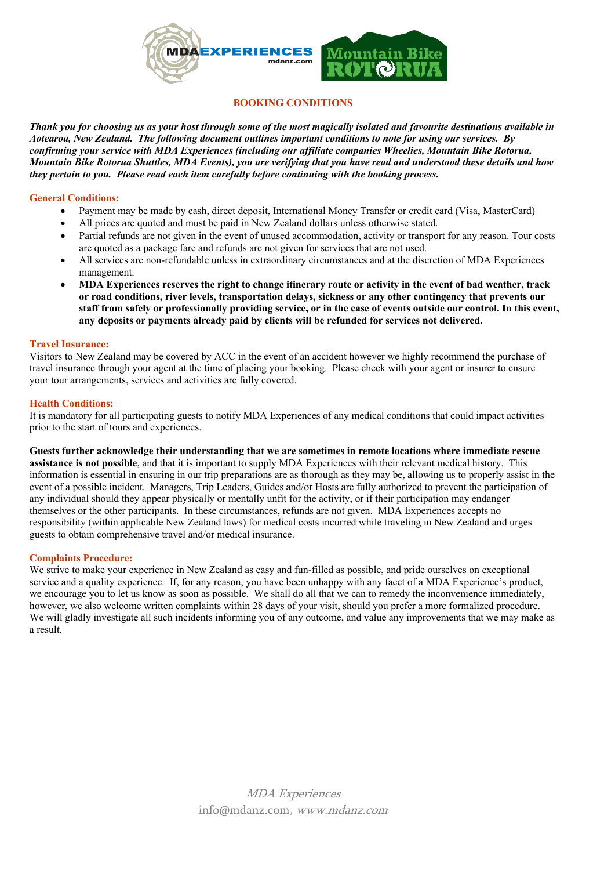

# **BOOKING CONDITIONS**

*Thank you for choosing us as your host through some of the most magically isolated and favourite destinations available in Aotearoa, New Zealand. The following document outlines important conditions to note for using our services. By confirming your service with MDA Experiences (including our affiliate companies Wheelies, Mountain Bike Rotorua, Mountain Bike Rotorua Shuttles, MDA Events), you are verifying that you have read and understood these details and how they pertain to you. Please read each item carefully before continuing with the booking process.* 

## **General Conditions:**

- Payment may be made by cash, direct deposit, International Money Transfer or credit card (Visa, MasterCard)
- All prices are quoted and must be paid in New Zealand dollars unless otherwise stated.
- Partial refunds are not given in the event of unused accommodation, activity or transport for any reason. Tour costs are quoted as a package fare and refunds are not given for services that are not used.
- All services are non-refundable unless in extraordinary circumstances and at the discretion of MDA Experiences management.
- **MDA Experiences reserves the right to change itinerary route or activity in the event of bad weather, track or road conditions, river levels, transportation delays, sickness or any other contingency that prevents our staff from safely or professionally providing service, or in the case of events outside our control. In this event, any deposits or payments already paid by clients will be refunded for services not delivered.**

### **Travel Insurance:**

Visitors to New Zealand may be covered by ACC in the event of an accident however we highly recommend the purchase of travel insurance through your agent at the time of placing your booking. Please check with your agent or insurer to ensure your tour arrangements, services and activities are fully covered.

# **Health Conditions:**

It is mandatory for all participating guests to notify MDA Experiences of any medical conditions that could impact activities prior to the start of tours and experiences.

**Guests further acknowledge their understanding that we are sometimes in remote locations where immediate rescue assistance is not possible**, and that it is important to supply MDA Experiences with their relevant medical history. This information is essential in ensuring in our trip preparations are as thorough as they may be, allowing us to properly assist in the event of a possible incident. Managers, Trip Leaders, Guides and/or Hosts are fully authorized to prevent the participation of any individual should they appear physically or mentally unfit for the activity, or if their participation may endanger themselves or the other participants. In these circumstances, refunds are not given. MDA Experiences accepts no responsibility (within applicable New Zealand laws) for medical costs incurred while traveling in New Zealand and urges guests to obtain comprehensive travel and/or medical insurance.

# **Complaints Procedure:**

We strive to make your experience in New Zealand as easy and fun-filled as possible, and pride ourselves on exceptional service and a quality experience. If, for any reason, you have been unhappy with any facet of a MDA Experience's product, we encourage you to let us know as soon as possible. We shall do all that we can to remedy the inconvenience immediately, however, we also welcome written complaints within 28 days of your visit, should you prefer a more formalized procedure. We will gladly investigate all such incidents informing you of any outcome, and value any improvements that we may make as a result.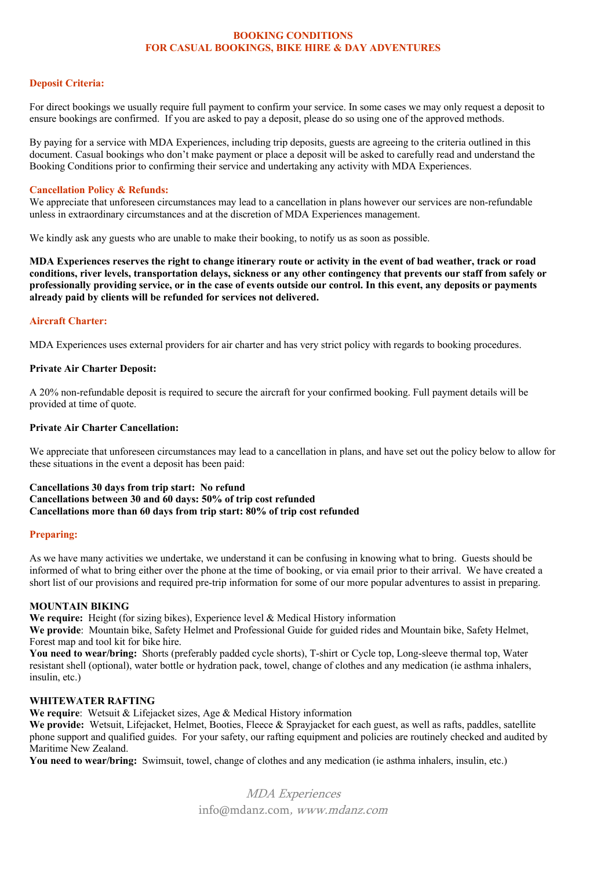#### **BOOKING CONDITIONS FOR CASUAL BOOKINGS, BIKE HIRE & DAY ADVENTURES**

## **Deposit Criteria:**

For direct bookings we usually require full payment to confirm your service. In some cases we may only request a deposit to ensure bookings are confirmed. If you are asked to pay a deposit, please do so using one of the approved methods.

By paying for a service with MDA Experiences, including trip deposits, guests are agreeing to the criteria outlined in this document. Casual bookings who don't make payment or place a deposit will be asked to carefully read and understand the Booking Conditions prior to confirming their service and undertaking any activity with MDA Experiences.

#### **Cancellation Policy & Refunds:**

We appreciate that unforeseen circumstances may lead to a cancellation in plans however our services are non-refundable unless in extraordinary circumstances and at the discretion of MDA Experiences management.

We kindly ask any guests who are unable to make their booking, to notify us as soon as possible.

**MDA Experiences reserves the right to change itinerary route or activity in the event of bad weather, track or road conditions, river levels, transportation delays, sickness or any other contingency that prevents our staff from safely or professionally providing service, or in the case of events outside our control. In this event, any deposits or payments already paid by clients will be refunded for services not delivered.** 

# **Aircraft Charter:**

MDA Experiences uses external providers for air charter and has very strict policy with regards to booking procedures.

### **Private Air Charter Deposit:**

A 20% non-refundable deposit is required to secure the aircraft for your confirmed booking. Full payment details will be provided at time of quote.

#### **Private Air Charter Cancellation:**

We appreciate that unforeseen circumstances may lead to a cancellation in plans, and have set out the policy below to allow for these situations in the event a deposit has been paid:

#### **Cancellations 30 days from trip start: No refund Cancellations between 30 and 60 days: 50% of trip cost refunded Cancellations more than 60 days from trip start: 80% of trip cost refunded**

### **Preparing:**

As we have many activities we undertake, we understand it can be confusing in knowing what to bring. Guests should be informed of what to bring either over the phone at the time of booking, or via email prior to their arrival. We have created a short list of our provisions and required pre-trip information for some of our more popular adventures to assist in preparing.

### **MOUNTAIN BIKING**

**We require:** Height (for sizing bikes), Experience level & Medical History information

**We provide**: Mountain bike, Safety Helmet and Professional Guide for guided rides and Mountain bike, Safety Helmet, Forest map and tool kit for bike hire.

You need to wear/bring: Shorts (preferably padded cycle shorts), T-shirt or Cycle top, Long-sleeve thermal top, Water resistant shell (optional), water bottle or hydration pack, towel, change of clothes and any medication (ie asthma inhalers, insulin, etc.)

#### **WHITEWATER RAFTING**

**We require**: Wetsuit & Lifejacket sizes, Age & Medical History information

**We provide:** Wetsuit, Lifejacket, Helmet, Booties, Fleece & Sprayjacket for each guest, as well as rafts, paddles, satellite phone support and qualified guides. For your safety, our rafting equipment and policies are routinely checked and audited by Maritime New Zealand.

**You need to wear/bring:** Swimsuit, towel, change of clothes and any medication (ie asthma inhalers, insulin, etc.)

MDA Experiences info@mdanz.com, www.mdanz.com